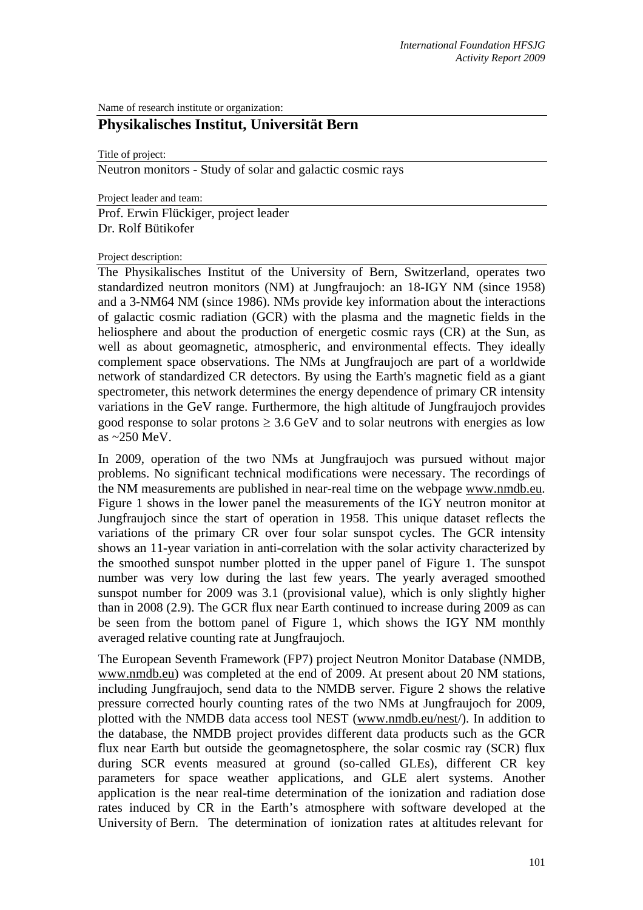Name of research institute or organization:

## **Physikalisches Institut, Universität Bern**

Title of project:

Neutron monitors - Study of solar and galactic cosmic rays

Project leader and team:

Prof. Erwin Flückiger, project leader Dr. Rolf Bütikofer

Project description:

The Physikalisches Institut of the University of Bern, Switzerland, operates two standardized neutron monitors (NM) at Jungfraujoch: an 18-IGY NM (since 1958) and a 3-NM64 NM (since 1986). NMs provide key information about the interactions of galactic cosmic radiation (GCR) with the plasma and the magnetic fields in the heliosphere and about the production of energetic cosmic rays (CR) at the Sun, as well as about geomagnetic, atmospheric, and environmental effects. They ideally complement space observations. The NMs at Jungfraujoch are part of a worldwide network of standardized CR detectors. By using the Earth's magnetic field as a giant spectrometer, this network determines the energy dependence of primary CR intensity variations in the GeV range. Furthermore, the high altitude of Jungfraujoch provides good response to solar protons  $\geq 3.6$  GeV and to solar neutrons with energies as low as  $\approx$  250 MeV.

In 2009, operation of the two NMs at Jungfraujoch was pursued without major problems. No significant technical modifications were necessary. The recordings of the NM measurements are published in near-real time on the webpage www.nmdb.eu. Figure 1 shows in the lower panel the measurements of the IGY neutron monitor at Jungfraujoch since the start of operation in 1958. This unique dataset reflects the variations of the primary CR over four solar sunspot cycles. The GCR intensity shows an 11-year variation in anti-correlation with the solar activity characterized by the smoothed sunspot number plotted in the upper panel of Figure 1. The sunspot number was very low during the last few years. The yearly averaged smoothed sunspot number for 2009 was 3.1 (provisional value), which is only slightly higher than in 2008 (2.9). The GCR flux near Earth continued to increase during 2009 as can be seen from the bottom panel of Figure 1, which shows the IGY NM monthly averaged relative counting rate at Jungfraujoch.

The European Seventh Framework (FP7) project Neutron Monitor Database (NMDB, www.nmdb.eu) was completed at the end of 2009. At present about 20 NM stations, including Jungfraujoch, send data to the NMDB server. Figure 2 shows the relative pressure corrected hourly counting rates of the two NMs at Jungfraujoch for 2009, plotted with the NMDB data access tool NEST (www.nmdb.eu/nest/). In addition to the database, the NMDB project provides different data products such as the GCR flux near Earth but outside the geomagnetosphere, the solar cosmic ray (SCR) flux during SCR events measured at ground (so-called GLEs), different CR key parameters for space weather applications, and GLE alert systems. Another application is the near real-time determination of the ionization and radiation dose rates induced by CR in the Earth's atmosphere with software developed at the University of Bern. The determination of ionization rates at altitudes relevant for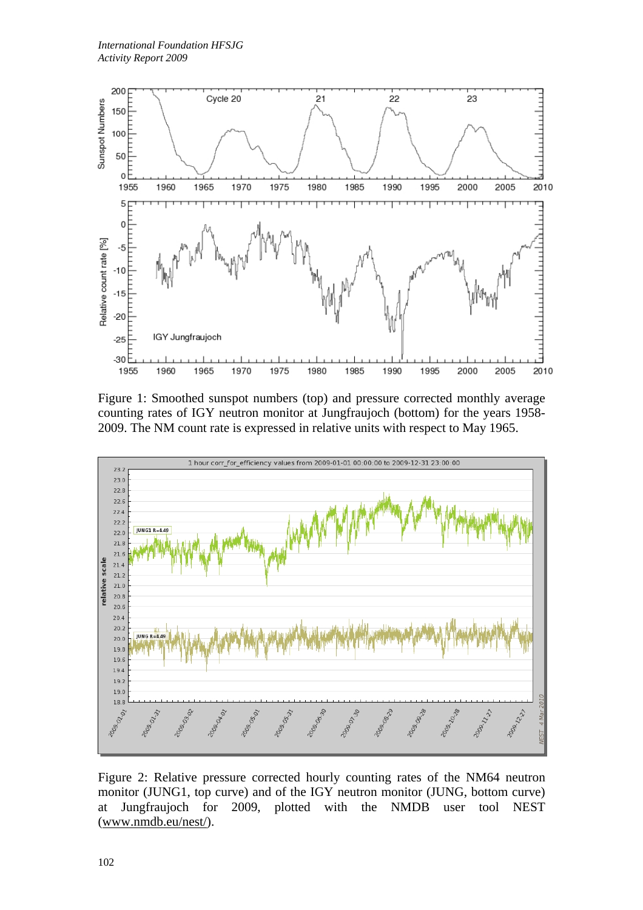

Figure 1: Smoothed sunspot numbers (top) and pressure corrected monthly average counting rates of IGY neutron monitor at Jungfraujoch (bottom) for the years 1958- 2009. The NM count rate is expressed in relative units with respect to May 1965.



Figure 2: Relative pressure corrected hourly counting rates of the NM64 neutron monitor (JUNG1, top curve) and of the IGY neutron monitor (JUNG, bottom curve) at Jungfraujoch for 2009, plotted with the NMDB user tool NEST (www.nmdb.eu/nest/).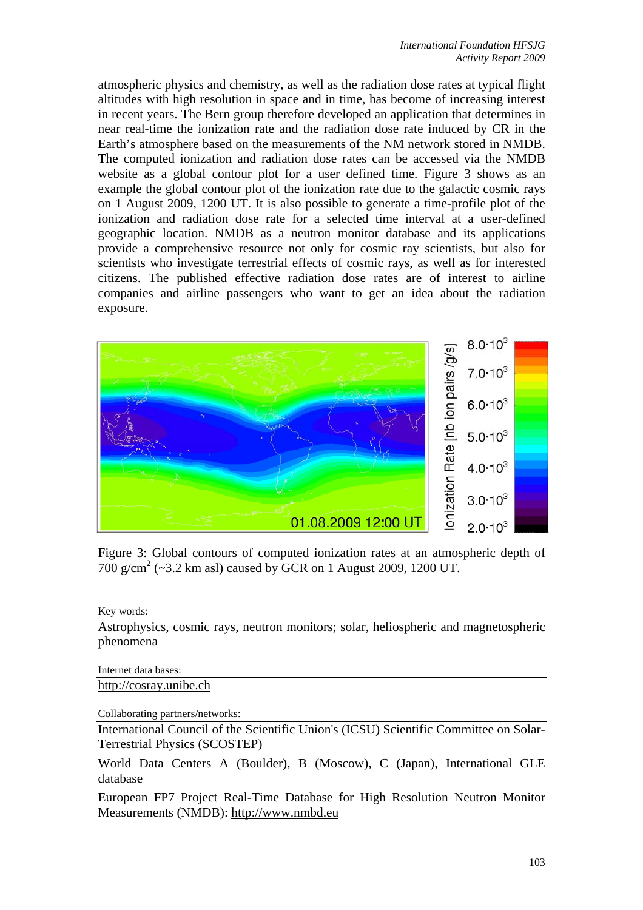atmospheric physics and chemistry, as well as the radiation dose rates at typical flight altitudes with high resolution in space and in time, has become of increasing interest in recent years. The Bern group therefore developed an application that determines in near real-time the ionization rate and the radiation dose rate induced by CR in the Earth's atmosphere based on the measurements of the NM network stored in NMDB. The computed ionization and radiation dose rates can be accessed via the NMDB website as a global contour plot for a user defined time. Figure 3 shows as an example the global contour plot of the ionization rate due to the galactic cosmic rays on 1 August 2009, 1200 UT. It is also possible to generate a time-profile plot of the ionization and radiation dose rate for a selected time interval at a user-defined geographic location. NMDB as a neutron monitor database and its applications provide a comprehensive resource not only for cosmic ray scientists, but also for scientists who investigate terrestrial effects of cosmic rays, as well as for interested citizens. The published effective radiation dose rates are of interest to airline companies and airline passengers who want to get an idea about the radiation exposure.



Figure 3: Global contours of computed ionization rates at an atmospheric depth of 700 g/cm<sup>2</sup> (~3.2 km asl) caused by GCR on 1 August 2009, 1200 UT.

Key words:

Astrophysics, cosmic rays, neutron monitors; solar, heliospheric and magnetospheric phenomena

Internet data bases: http://cosray.unibe.ch

Collaborating partners/networks:

International Council of the Scientific Union's (ICSU) Scientific Committee on Solar-Terrestrial Physics (SCOSTEP)

World Data Centers A (Boulder), B (Moscow), C (Japan), International GLE database

European FP7 Project Real-Time Database for High Resolution Neutron Monitor Measurements (NMDB): http://www.nmbd.eu